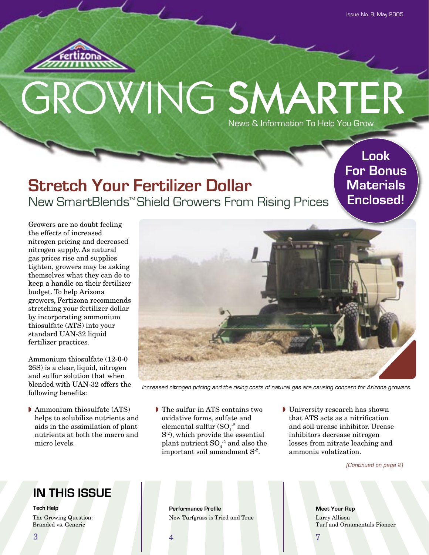

# GROWING SMARTER News & Information To Help You Grow

## **Stretch Your Fertilizer Dollar** New SmartBlends™ Shield Growers From Rising Prices

**Look For Bonus Materials Enclosed!**

Growers are no doubt feeling the effects of increased nitrogen pricing and decreased nitrogen supply. As natural gas prices rise and supplies tighten, growers may be asking themselves what they can do to keep a handle on their fertilizer budget. To help Arizona growers, Fertizona recommends stretching your fertilizer dollar by incorporating ammonium thiosulfate (ATS) into your standard UAN-32 liquid fertilizer practices.

Ammonium thiosulfate (12-0-0 26S) is a clear, liquid, nitrogen and sulfur solution that when blended with UAN-32 offers the following benefits:

◗ Ammonium thiosulfate (ATS) helps to solubilize nutrients and aids in the assimilation of plant nutrients at both the macro and micro levels.



Increased nitrogen pricing and the rising costs of natural gas are causing concern for Arizona growers.

- ◗ The sulfur in ATS contains two oxidative forms, sulfate and elemental sulfur  $\left(\text{SO}_4\right)^2$  and S-2), which provide the essential plant nutrient  $\mathrm{SO}_4^{-2}$  and also the important soil amendment S-2.
- ◗ University research has shown that ATS acts as a nitrification and soil urease inhibitor. Urease inhibitors decrease nitrogen losses from nitrate leaching and ammonia volatization.

(Continued on page 2)

## **IN THIS ISSUE**

**Tech Help** The Growing Question: Branded vs. Generic

**Performance Profile Meet Your Rep** New Turfgrass is Tried and True Larry Allison

Turf and Ornamentals Pioneer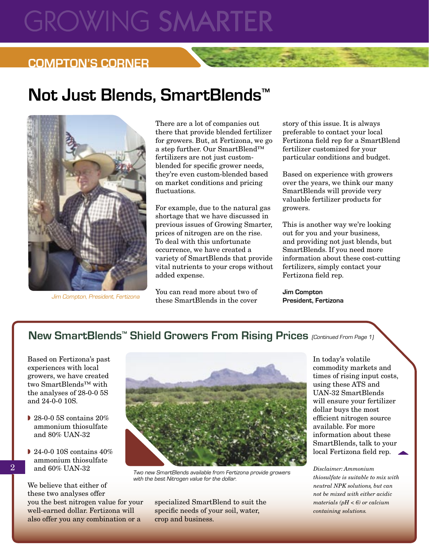# **GROWING SMARTER**

### **COMPTON'S CORNER**

# **Not Just Blends, SmartBlends™**



Jim Compton, President, Fertizona

There are a lot of companies out there that provide blended fertilizer for growers. But, at Fertizona, we go a step further. Our SmartBlend™ fertilizers are not just customblended for specific grower needs, they're even custom-blended based on market conditions and pricing fluctuations.

For example, due to the natural gas shortage that we have discussed in previous issues of Growing Smarter, prices of nitrogen are on the rise. To deal with this unfortunate occurrence, we have created a variety of SmartBlends that provide vital nutrients to your crops without added expense.

You can read more about two of these SmartBlends in the cover story of this issue. It is always preferable to contact your local Fertizona field rep for a SmartBlend fertilizer customized for your particular conditions and budget.

Based on experience with growers over the years, we think our many SmartBlends will provide very valuable fertilizer products for growers.

This is another way we're looking out for you and your business, and providing not just blends, but SmartBlends. If you need more information about these cost-cutting fertilizers, simply contact your Fertizona field rep.

**Jim Compton President, Fertizona**

### New SmartBlends<sup>™</sup> Shield Growers From Rising Prices (Continued From Page 1)

Based on Fertizona's past experiences with local growers, we have created two SmartBlends™ with the analyses of 28-0-0 5S and 24-0-0 10S.

- ◗ 28-0-0 5S contains 20% ammonium thiosulfate and 80% UAN-32
- ◗ 24-0-0 10S contains 40% ammonium thiosulfate and 60% UAN-32

We believe that either of these two analyses offer you the best nitrogen value for your well-earned dollar. Fertizona will also offer you any combination or a



with the best Nitrogen value for the dollar.

specialized SmartBlend to suit the specific needs of your soil, water, crop and business.

In today's volatile commodity markets and times of rising input costs, using these ATS and UAN-32 SmartBlends will ensure your fertilizer dollar buys the most efficient nitrogen source available. For more information about these SmartBlends, talk to your local Fertizona field rep.

*Disclaimer: Ammonium thiosulfate is suitable to mix with neutral NPK solutions, but can not be mixed with either acidic materials (pH < 6) or calcium containing solutions.*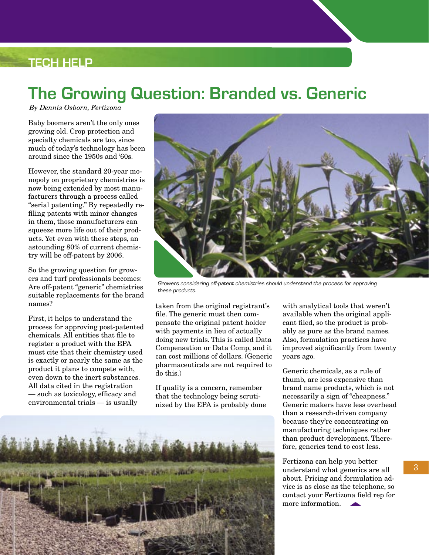## **TECH HELP**

# **The Growing Question: Branded vs. Generic**

*By Dennis Osborn, Fertizona*

Baby boomers aren't the only ones growing old. Crop protection and specialty chemicals are too, since much of today's technology has been around since the 1950s and '60s.

However, the standard 20-year monopoly on proprietary chemistries is now being extended by most manufacturers through a process called "serial patenting." By repeatedly refiling patents with minor changes in them, those manufacturers can squeeze more life out of their products. Yet even with these steps, an astounding 80% of current chemistry will be off-patent by 2006.

So the growing question for growers and turf professionals becomes: Are off-patent "generic" chemistries suitable replacements for the brand names?

First, it helps to understand the process for approving post-patented chemicals. All entities that file to register a product with the EPA must cite that their chemistry used is exactly or nearly the same as the product it plans to compete with, even down to the inert substances. All data cited in the registration — such as toxicology, efficacy and environmental trials — is usually



Growers considering off-patent chemistries should understand the process for approving these products.

taken from the original registrant's file. The generic must then compensate the original patent holder with payments in lieu of actually doing new trials. This is called Data Compensation or Data Comp, and it can cost millions of dollars. (Generic pharmaceuticals are not required to do this.)

If quality is a concern, remember that the technology being scrutinized by the EPA is probably done

when the beginning her best of the state of the state of the state

with analytical tools that weren't available when the original applicant filed, so the product is probably as pure as the brand names. Also, formulation practices have improved significantly from twenty years ago.

Generic chemicals, as a rule of thumb, are less expensive than brand name products, which is not necessarily a sign of "cheapness." Generic makers have less overhead than a research-driven company because they're concentrating on manufacturing techniques rather than product development. Therefore, generics tend to cost less.

Fertizona can help you better understand what generics are all about. Pricing and formulation advice is as close as the telephone, so contact your Fertizona field rep for more information.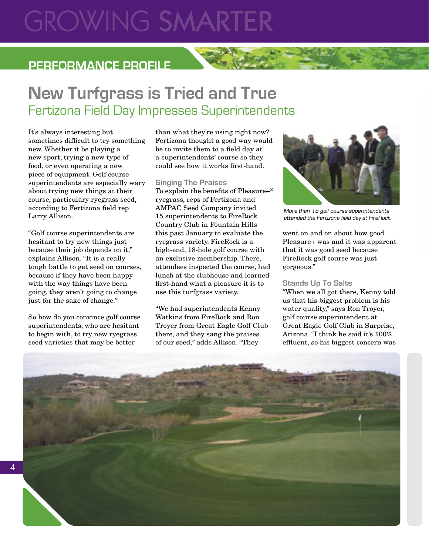# **GROWING SMARTE**

## **PERFORMANCE PROFILE**

# **New Turfgrass is Tried and True** Fertizona Field Day Impresses Superintendents

It's always interesting but sometimes difficult to try something new. Whether it be playing a new sport, trying a new type of food, or even operating a new piece of equipment. Golf course superintendents are especially wary about trying new things at their course, particulary ryegrass seed, according to Fertizona field rep Larry Allison.

"Golf course superintendents are hesitant to try new things just because their job depends on it," explains Allison. "It is a really tough battle to get seed on courses, because if they have been happy with the way things have been going, they aren't going to change just for the sake of change."

So how do you convince golf course superintendents, who are hesitant to begin with, to try new ryegrass seed varieties that may be better

than what they're using right now? Fertizona thought a good way would be to invite them to a field day at a superintendents' course so they could see how it works first-hand.

#### **Singing The Praises**

To explain the benefits of Pleasure+® ryegrass, reps of Fertizona and AMPAC Seed Company invited 15 superintendents to FireRock Country Club in Fountain Hills this past January to evaluate the ryegrass variety. FireRock is a high-end, 18-hole golf course with an exclusive membership. There, attendees inspected the course, had lunch at the clubhouse and learned first-hand what a pleasure it is to use this turfgrass variety.

"We had superintendents Kenny Watkins from FireRock and Ron Troyer from Great Eagle Golf Club there, and they sang the praises of our seed," adds Allison. "They



More than 15 golf course superintendents attended the Fertizona field day at FireRock.

went on and on about how good Pleasure+ was and it was apparent that it was good seed because FireRock golf course was just gorgeous."

#### **Stands Up To Salts**

"When we all got there, Kenny told us that his biggest problem is his water quality," says Ron Troyer, golf course superintendent at Great Eagle Golf Club in Surprise, Arizona. "I think he said it's 100% effluent, so his biggest concern was

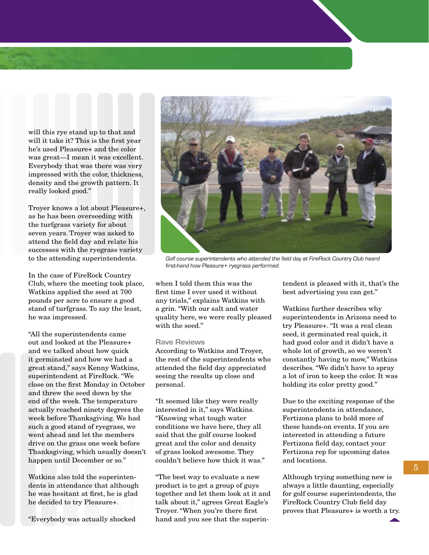will this rye stand up to that and will it take it? This is the first year he's used Pleasure+ and the color was great—I mean it was excellent. Everybody that was there was very impressed with the color, thickness, density and the growth pattern. It really looked good."

Troyer knows a lot about Pleasure+, as he has been overseeding with the turfgrass variety for about seven years. Troyer was asked to attend the field day and relate his successes with the ryegrass variety to the attending superintendents.

In the case of FireRock Country Club, where the meeting took place, Watkins applied the seed at 700 pounds per acre to ensure a good stand of turfgrass. To say the least, he was impressed.

"All the superintendents came out and looked at the Pleasure+ and we talked about how quick it germinated and how we had a great stand," says Kenny Watkins, superintendent at FireRock. "We close on the first Monday in October and threw the seed down by the end of the week. The temperature actually reached ninety degrees the week before Thanksgiving. We had such a good stand of ryegrass, we went ahead and let the members drive on the grass one week before Thanksgiving, which usually doesn't happen until December or so."

Watkins also told the superintendents in attendance that although he was hesitant at first, he is glad he decided to try Pleasure+.

"Everybody was actually shocked



Golf course superintendents who attended the field day at FireRock Country Club heard first-hand how Pleasure+ ryegrass performed.

when I told them this was the first time I ever used it without any trials," explains Watkins with a grin. "With our salt and water quality here, we were really pleased with the seed."

#### **Rave Reviews**

According to Watkins and Troyer, the rest of the superintendents who attended the field day appreciated seeing the results up close and personal.

"It seemed like they were really interested in it," says Watkins. "Knowing what tough water conditions we have here, they all said that the golf course looked great and the color and density of grass looked awesome. They couldn't believe how thick it was."

"The best way to evaluate a new product is to get a group of guys together and let them look at it and talk about it," agrees Great Eagle's Troyer. "When you're there first hand and you see that the superintendent is pleased with it, that's the best advertising you can get."

Watkins further describes why superintendents in Arizona need to try Pleasure+. "It was a real clean seed, it germinated real quick, it had good color and it didn't have a whole lot of growth, so we weren't constantly having to mow," Watkins describes. "We didn't have to spray a lot of iron to keep the color. It was holding its color pretty good."

Due to the exciting response of the superintendents in attendance, Fertizona plans to hold more of these hands-on events. If you are interested in attending a future Fertizona field day, contact your Fertizona rep for upcoming dates and locations.

Although trying something new is always a little daunting, especially for golf course superintendents, the FireRock Country Club field day proves that Pleasure+ is worth a try.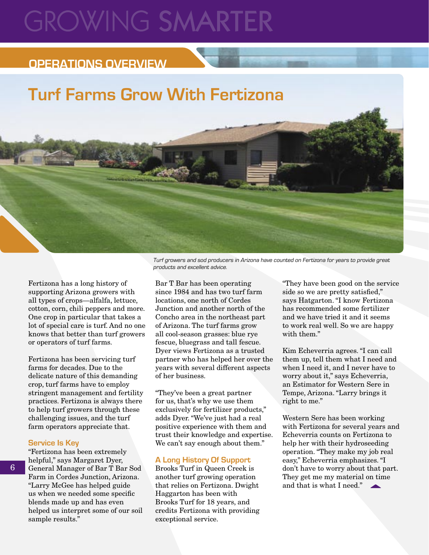# **GROWING SMARTE**

## **OPERATIONS OVERVIEW**

# **Turf Farms Grow With Fertizona**

Fertizona has a long history of supporting Arizona growers with all types of crops—alfalfa, lettuce, cotton, corn, chili peppers and more. One crop in particular that takes a lot of special care is turf. And no one knows that better than turf growers or operators of turf farms.

Fertizona has been servicing turf farms for decades. Due to the delicate nature of this demanding crop, turf farms have to employ stringent management and fertility practices. Fertizona is always there to help turf growers through these challenging issues, and the turf farm operators appreciate that.

#### **Service Is Key**

"Fertizona has been extremely helpful," says Margaret Dyer, General Manager of Bar T Bar Sod Farm in Cordes Junction, Arizona. "Larry McGee has helped guide us when we needed some specific blends made up and has even helped us interpret some of our soil sample results."

Turf growers and sod producers in Arizona have counted on Fertizona for years to provide great products and excellent advice.

Bar T Bar has been operating since 1984 and has two turf farm locations, one north of Cordes Junction and another north of the Concho area in the northeast part of Arizona. The turf farms grow all cool-season grasses: blue rye fescue, bluegrass and tall fescue. Dyer views Fertizona as a trusted partner who has helped her over the years with several different aspects of her business.

"They've been a great partner for us, that's why we use them exclusively for fertilizer products," adds Dyer. "We've just had a real positive experience with them and trust their knowledge and expertise. We can't say enough about them."

#### **A Long History Of Support**

Brooks Turf in Queen Creek is another turf growing operation that relies on Fertizona. Dwight Haggarton has been with Brooks Turf for 18 years, and credits Fertizona with providing exceptional service.

"They have been good on the service side so we are pretty satisfied," says Hatgarton. "I know Fertizona has recommended some fertilizer and we have tried it and it seems to work real well. So we are happy with them."

Kim Echeverria agrees. "I can call them up, tell them what I need and when I need it, and I never have to worry about it," says Echeverria, an Estimator for Western Sere in Tempe, Arizona. "Larry brings it right to me."

Western Sere has been working with Fertizona for several years and Echeverria counts on Fertizona to help her with their hydroseeding operation. "They make my job real easy," Echeverria emphasizes. "I don't have to worry about that part. They get me my material on time and that is what I need."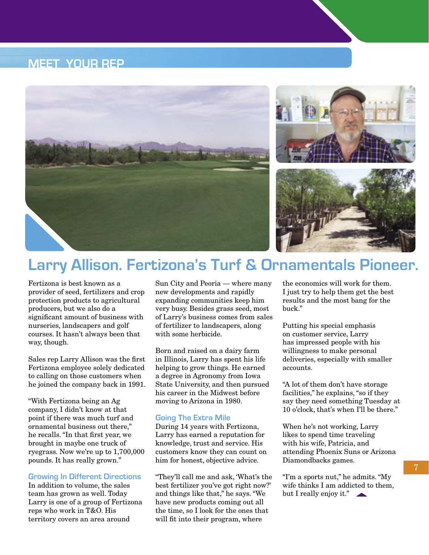### **MEET YOUR REP**





## **Larry Allison. Fertizona's Turf & Ornamentals Pioneer.**

Fertizona is best known as a provider of seed, fertilizers and crop protection products to agricultural producers, but we also do a significant amount of business with nurseries, landscapers and golf courses. It hasn't always been that way, though.

Sales rep Larry Allison was the first Fertizona employee solely dedicated to calling on those customers when he joined the company back in 1991.

"With Fertizona being an Ag company, I didn't know at that point if there was much turf and ornamental business out there," he recalls. "In that first year, we brought in maybe one truck of ryegrass. Now we're up to 1,700,000 pounds. It has really grown."

#### **Growing In Different Directions**

In addition to volume, the sales team has grown as well. Today Larry is one of a group of Fertizona reps who work in T&O. His territory covers an area around

Sun City and Peoria — where many new developments and rapidly expanding communities keep him very busy. Besides grass seed, most of Larry's business comes from sales of fertilizer to landscapers, along with some herbicide.

Born and raised on a dairy farm in Illinois, Larry has spent his life helping to grow things. He earned a degree in Agronomy from Iowa State University, and then pursued his career in the Midwest before moving to Arizona in 1980.

#### **Going The Extra Mile**

During 14 years with Fertizona, Larry has earned a reputation for knowledge, trust and service. His customers know they can count on him for honest, objective advice.

"They'll call me and ask, 'What's the best fertilizer you've got right now?' and things like that," he says. "We have new products coming out all the time, so I look for the ones that will fit into their program, where

the economics will work for them. I just try to help them get the best results and the most bang for the buck."

Putting his special emphasis on customer service, Larry has impressed people with his willingness to make personal deliveries, especially with smaller accounts.

"A lot of them don't have storage facilities," he explains, "so if they say they need something Tuesday at 10 o'clock, that's when I'll be there."

When he's not working, Larry likes to spend time traveling with his wife, Patricia, and attending Phoenix Suns or Arizona Diamondbacks games.

"I'm a sports nut," he admits. "My wife thinks I am addicted to them, but I really enjoy it."